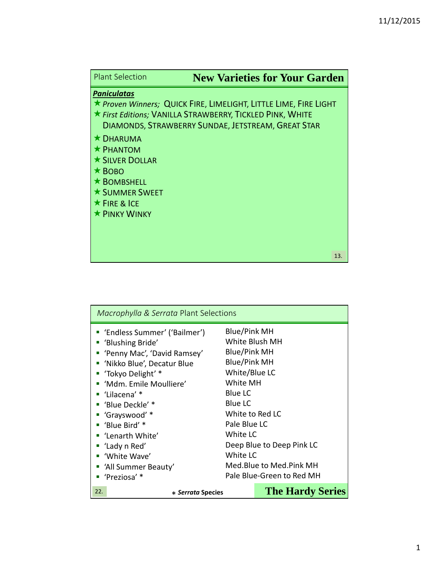| <b>Plant Selection</b>                                                                                  | <b>New Varieties for Your Garden</b>                                                                                                                                                |
|---------------------------------------------------------------------------------------------------------|-------------------------------------------------------------------------------------------------------------------------------------------------------------------------------------|
| <b>Paniculatas</b><br><b>* DHARUMA</b>                                                                  | ★ Proven Winners; QUICK FIRE, LIMELIGHT, LITTLE LIME, FIRE LIGHT<br>★ First Editions; VANILLA STRAWBERRY, TICKLED PINK, WHITE<br>DIAMONDS, STRAWBERRY SUNDAE, JETSTREAM, GREAT STAR |
| $\star$ PHANTOM<br><b>* SILVER DOLLAR</b><br>$\star$ BOBO<br>$\star$ BOMBSHELL<br><b>★ SUMMER SWEET</b> |                                                                                                                                                                                     |
| $\star$ FIRE & ICE<br><b>* PINKY WINKY</b>                                                              |                                                                                                                                                                                     |
|                                                                                                         | 13.                                                                                                                                                                                 |

| Macrophylla & Serrata Plant Selections                                                                                                                                                                                                                                                                                                                    |                                                                                                                                                                                                                                                                                               |  |
|-----------------------------------------------------------------------------------------------------------------------------------------------------------------------------------------------------------------------------------------------------------------------------------------------------------------------------------------------------------|-----------------------------------------------------------------------------------------------------------------------------------------------------------------------------------------------------------------------------------------------------------------------------------------------|--|
| ■ 'Endless Summer' ('Bailmer')<br>■ 'Blushing Bride'<br>• 'Penny Mac', 'David Ramsey'<br>" 'Nikko Blue', Decatur Blue<br>■ 'Tokyo Delight' *<br>" 'Mdm. Emile Moulliere'<br>■ 'Lilacena' *<br>■ 'Blue Deckle' *<br>" 'Grayswood' *<br>" 'Blue Bird' *<br>■ 'Lenarth White'<br>■ 'Lady n Red'<br>■ 'White Wave'<br>" 'All Summer Beauty'<br>■ 'Preziosa' * | Blue/Pink MH<br>White Blush MH<br><b>Blue/Pink MH</b><br><b>Blue/Pink MH</b><br>White/Blue LC<br>White MH<br><b>Blue LC</b><br><b>Blue LC</b><br>White to Red LC<br>Pale Blue LC<br>White LC<br>Deep Blue to Deep Pink LC<br>White LC<br>Med.Blue to Med.Pink MH<br>Pale Blue-Green to Red MH |  |
| 22.<br>* Serrata Species                                                                                                                                                                                                                                                                                                                                  | <b>The Hardy Series</b>                                                                                                                                                                                                                                                                       |  |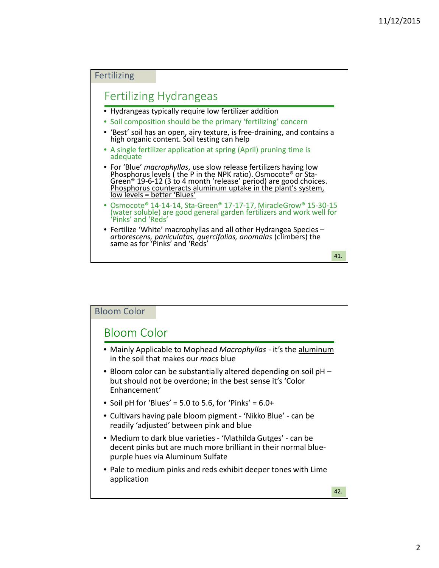